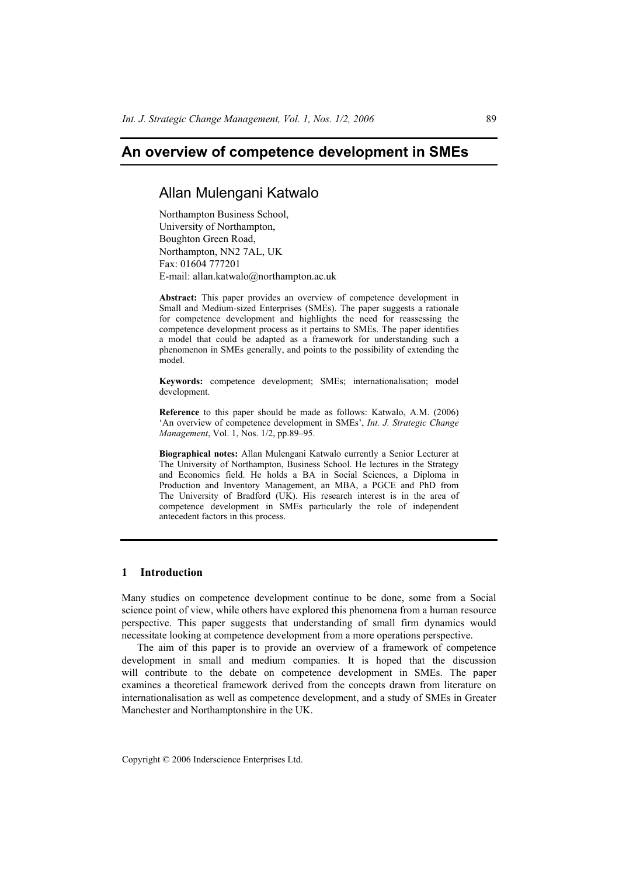# **An overview of competence development in SMEs**

# Allan Mulengani Katwalo

Northampton Business School, University of Northampton, Boughton Green Road, Northampton, NN2 7AL, UK Fax: 01604 777201 E-mail: allan.katwalo@northampton.ac.uk

**Abstract:** This paper provides an overview of competence development in Small and Medium-sized Enterprises (SMEs). The paper suggests a rationale for competence development and highlights the need for reassessing the competence development process as it pertains to SMEs. The paper identifies a model that could be adapted as a framework for understanding such a phenomenon in SMEs generally, and points to the possibility of extending the model.

**Keywords:** competence development; SMEs; internationalisation; model development.

**Reference** to this paper should be made as follows: Katwalo, A.M. (2006) 'An overview of competence development in SMEs', *Int. J. Strategic Change Management*, Vol. 1, Nos. 1/2, pp.89–95.

**Biographical notes:** Allan Mulengani Katwalo currently a Senior Lecturer at The University of Northampton, Business School. He lectures in the Strategy and Economics field. He holds a BA in Social Sciences, a Diploma in Production and Inventory Management, an MBA, a PGCE and PhD from The University of Bradford (UK). His research interest is in the area of competence development in SMEs particularly the role of independent antecedent factors in this process.

# **1 Introduction**

Many studies on competence development continue to be done, some from a Social science point of view, while others have explored this phenomena from a human resource perspective. This paper suggests that understanding of small firm dynamics would necessitate looking at competence development from a more operations perspective.

The aim of this paper is to provide an overview of a framework of competence development in small and medium companies. It is hoped that the discussion will contribute to the debate on competence development in SMEs. The paper examines a theoretical framework derived from the concepts drawn from literature on internationalisation as well as competence development, and a study of SMEs in Greater Manchester and Northamptonshire in the UK.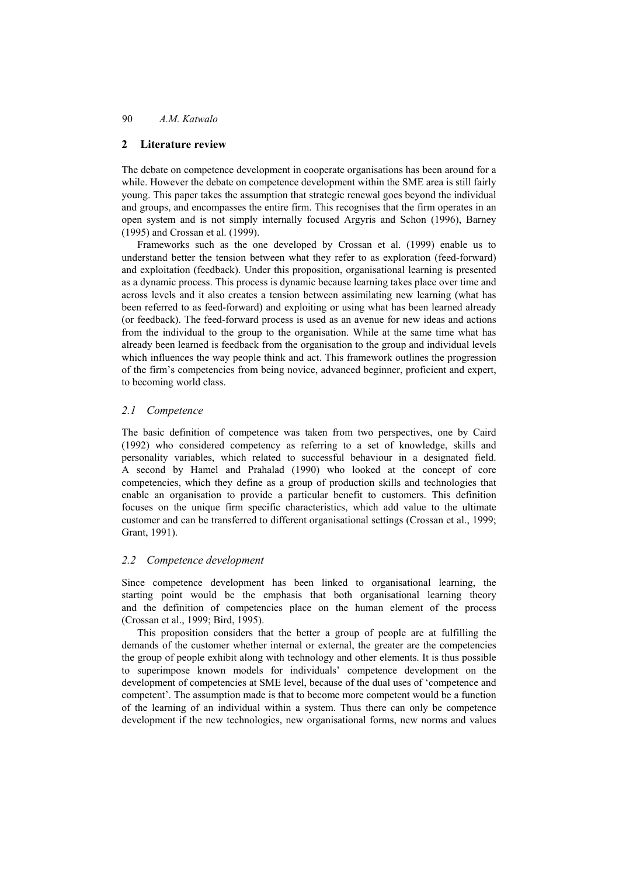# 90 *A.M. Katwalo*

# **2 Literature review**

The debate on competence development in cooperate organisations has been around for a while. However the debate on competence development within the SME area is still fairly young. This paper takes the assumption that strategic renewal goes beyond the individual and groups, and encompasses the entire firm. This recognises that the firm operates in an open system and is not simply internally focused Argyris and Schon (1996), Barney (1995) and Crossan et al. (1999).

Frameworks such as the one developed by Crossan et al. (1999) enable us to understand better the tension between what they refer to as exploration (feed-forward) and exploitation (feedback). Under this proposition, organisational learning is presented as a dynamic process. This process is dynamic because learning takes place over time and across levels and it also creates a tension between assimilating new learning (what has been referred to as feed-forward) and exploiting or using what has been learned already (or feedback). The feed-forward process is used as an avenue for new ideas and actions from the individual to the group to the organisation. While at the same time what has already been learned is feedback from the organisation to the group and individual levels which influences the way people think and act. This framework outlines the progression of the firm's competencies from being novice, advanced beginner, proficient and expert, to becoming world class.

## *2.1 Competence*

The basic definition of competence was taken from two perspectives, one by Caird (1992) who considered competency as referring to a set of knowledge, skills and personality variables, which related to successful behaviour in a designated field. A second by Hamel and Prahalad (1990) who looked at the concept of core competencies, which they define as a group of production skills and technologies that enable an organisation to provide a particular benefit to customers. This definition focuses on the unique firm specific characteristics, which add value to the ultimate customer and can be transferred to different organisational settings (Crossan et al., 1999; Grant, 1991).

#### *2.2 Competence development*

Since competence development has been linked to organisational learning, the starting point would be the emphasis that both organisational learning theory and the definition of competencies place on the human element of the process (Crossan et al., 1999; Bird, 1995).

This proposition considers that the better a group of people are at fulfilling the demands of the customer whether internal or external, the greater are the competencies the group of people exhibit along with technology and other elements. It is thus possible to superimpose known models for individuals' competence development on the development of competencies at SME level, because of the dual uses of 'competence and competent'. The assumption made is that to become more competent would be a function of the learning of an individual within a system. Thus there can only be competence development if the new technologies, new organisational forms, new norms and values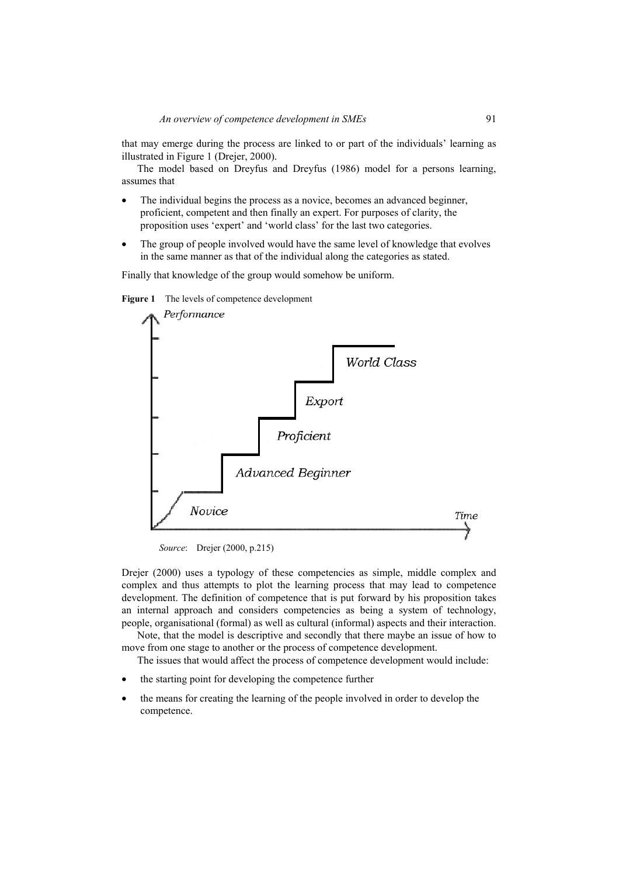that may emerge during the process are linked to or part of the individuals' learning as illustrated in Figure 1 (Drejer, 2000).

The model based on Dreyfus and Dreyfus (1986) model for a persons learning, assumes that

- The individual begins the process as a novice, becomes an advanced beginner, proficient, competent and then finally an expert. For purposes of clarity, the proposition uses 'expert' and 'world class' for the last two categories.
- The group of people involved would have the same level of knowledge that evolves in the same manner as that of the individual along the categories as stated.

Finally that knowledge of the group would somehow be uniform.





*Source*: Drejer (2000, p.215)

Drejer (2000) uses a typology of these competencies as simple, middle complex and complex and thus attempts to plot the learning process that may lead to competence development. The definition of competence that is put forward by his proposition takes an internal approach and considers competencies as being a system of technology, people, organisational (formal) as well as cultural (informal) aspects and their interaction.

Note, that the model is descriptive and secondly that there maybe an issue of how to move from one stage to another or the process of competence development.

The issues that would affect the process of competence development would include:

- the starting point for developing the competence further
- the means for creating the learning of the people involved in order to develop the competence.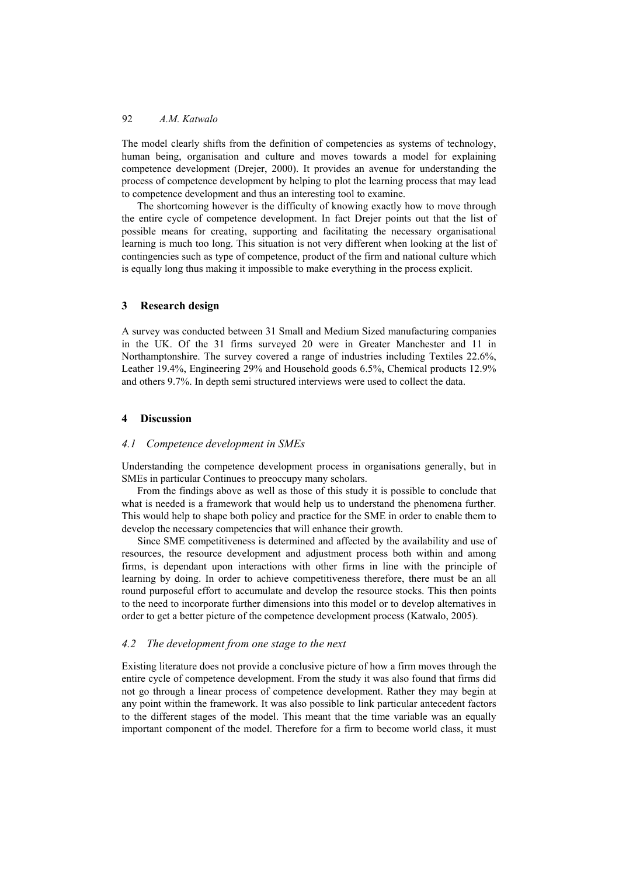## 92 *A.M. Katwalo*

The model clearly shifts from the definition of competencies as systems of technology, human being, organisation and culture and moves towards a model for explaining competence development (Drejer, 2000). It provides an avenue for understanding the process of competence development by helping to plot the learning process that may lead to competence development and thus an interesting tool to examine.

The shortcoming however is the difficulty of knowing exactly how to move through the entire cycle of competence development. In fact Drejer points out that the list of possible means for creating, supporting and facilitating the necessary organisational learning is much too long. This situation is not very different when looking at the list of contingencies such as type of competence, product of the firm and national culture which is equally long thus making it impossible to make everything in the process explicit.

#### **3 Research design**

A survey was conducted between 31 Small and Medium Sized manufacturing companies in the UK. Of the 31 firms surveyed 20 were in Greater Manchester and 11 in Northamptonshire. The survey covered a range of industries including Textiles 22.6%, Leather 19.4%, Engineering 29% and Household goods 6.5%, Chemical products 12.9% and others 9.7%. In depth semi structured interviews were used to collect the data.

### **4 Discussion**

#### *4.1 Competence development in SMEs*

Understanding the competence development process in organisations generally, but in SMEs in particular Continues to preoccupy many scholars.

From the findings above as well as those of this study it is possible to conclude that what is needed is a framework that would help us to understand the phenomena further. This would help to shape both policy and practice for the SME in order to enable them to develop the necessary competencies that will enhance their growth.

Since SME competitiveness is determined and affected by the availability and use of resources, the resource development and adjustment process both within and among firms, is dependant upon interactions with other firms in line with the principle of learning by doing. In order to achieve competitiveness therefore, there must be an all round purposeful effort to accumulate and develop the resource stocks. This then points to the need to incorporate further dimensions into this model or to develop alternatives in order to get a better picture of the competence development process (Katwalo, 2005).

# *4.2 The development from one stage to the next*

Existing literature does not provide a conclusive picture of how a firm moves through the entire cycle of competence development. From the study it was also found that firms did not go through a linear process of competence development. Rather they may begin at any point within the framework. It was also possible to link particular antecedent factors to the different stages of the model. This meant that the time variable was an equally important component of the model. Therefore for a firm to become world class, it must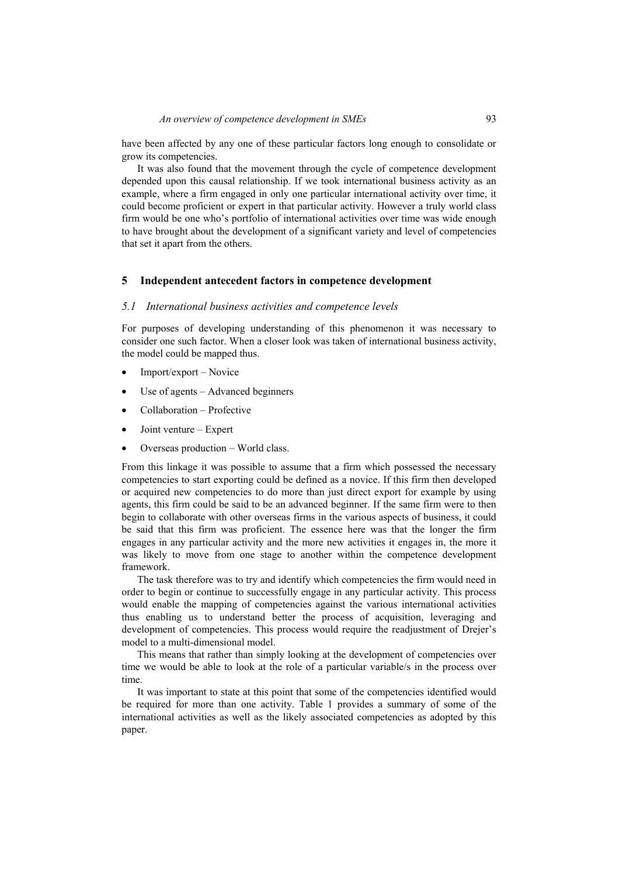have been affected by any one of these particular factors long enough to consolidate or grow its competencies.

It was also found that the movement through the cycle of competence development depended upon this causal relationship. If we took international business activity as an example, where a firm engaged in only one particular international activity over time, it could become proficient or expert in that particular activity. However a truly world class firm would be one who's portfolio of international activities over time was wide enough to have brought about the development of a significant variety and level of competencies that set it apart from the others.

### **5 Independent antecedent factors in competence development**

#### *5.1 International business activities and competence levels*

For purposes of developing understanding of this phenomenon it was necessary to consider one such factor. When a closer look was taken of international business activity, the model could be mapped thus.

- Import/export Novice
- Use of agents Advanced beginners
- Collaboration Profective
- Joint venture Expert
- Overseas production World class.

From this linkage it was possible to assume that a firm which possessed the necessary competencies to start exporting could be defined as a novice. If this firm then developed or acquired new competencies to do more than just direct export for example by using agents, this firm could be said to be an advanced beginner. If the same firm were to then begin to collaborate with other overseas firms in the various aspects of business, it could be said that this firm was proficient. The essence here was that the longer the firm engages in any particular activity and the more new activities it engages in, the more it was likely to move from one stage to another within the competence development framework.

The task therefore was to try and identify which competencies the firm would need in order to begin or continue to successfully engage in any particular activity. This process would enable the mapping of competencies against the various international activities thus enabling us to understand better the process of acquisition, leveraging and development of competencies. This process would require the readjustment of Drejer's model to a multi-dimensional model.

This means that rather than simply looking at the development of competencies over time we would be able to look at the role of a particular variable/s in the process over time.

It was important to state at this point that some of the competencies identified would be required for more than one activity. Table 1 provides a summary of some of the international activities as well as the likely associated competencies as adopted by this paper.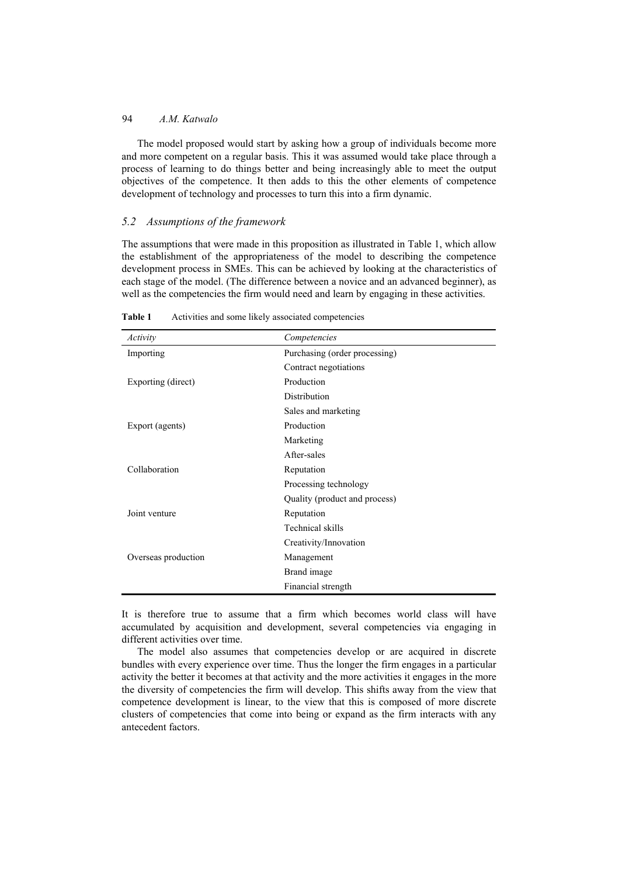# 94 *A.M. Katwalo*

The model proposed would start by asking how a group of individuals become more and more competent on a regular basis. This it was assumed would take place through a process of learning to do things better and being increasingly able to meet the output objectives of the competence. It then adds to this the other elements of competence development of technology and processes to turn this into a firm dynamic.

## *5.2 Assumptions of the framework*

The assumptions that were made in this proposition as illustrated in Table 1, which allow the establishment of the appropriateness of the model to describing the competence development process in SMEs. This can be achieved by looking at the characteristics of each stage of the model. (The difference between a novice and an advanced beginner), as well as the competencies the firm would need and learn by engaging in these activities.

| Activity            | Competencies                  |
|---------------------|-------------------------------|
| Importing           | Purchasing (order processing) |
|                     | Contract negotiations         |
| Exporting (direct)  | Production                    |
|                     | Distribution                  |
|                     | Sales and marketing           |
| Export (agents)     | Production                    |
|                     | Marketing                     |
|                     | After-sales                   |
| Collaboration       | Reputation                    |
|                     | Processing technology         |
|                     | Quality (product and process) |
| Joint venture       | Reputation                    |
|                     | Technical skills              |
|                     | Creativity/Innovation         |
| Overseas production | Management                    |
|                     | Brand image                   |
|                     | Financial strength            |

**Table 1** Activities and some likely associated competencies

It is therefore true to assume that a firm which becomes world class will have accumulated by acquisition and development, several competencies via engaging in different activities over time.

The model also assumes that competencies develop or are acquired in discrete bundles with every experience over time. Thus the longer the firm engages in a particular activity the better it becomes at that activity and the more activities it engages in the more the diversity of competencies the firm will develop. This shifts away from the view that competence development is linear, to the view that this is composed of more discrete clusters of competencies that come into being or expand as the firm interacts with any antecedent factors.